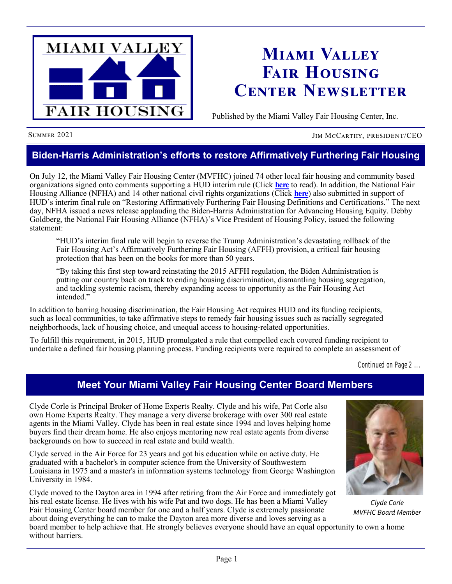

# **Miami Valley Fair Housing Center Newsletter**

Published by the Miami Valley Fair Housing Center, Inc.

SUMMER 2021 JIM MCCARTHY, PRESIDENT/CEO

### **Biden-Harris Administration's efforts to restore Affirmatively Furthering Fair Housing**

On July 12, the Miami Valley Fair Housing Center (MVFHC) joined 74 other local fair housing and community based organizations signed onto comments supporting a HUD interim rule (Click **[here](https://default.salsalabs.org/Tacc72e31-1614-4dba-8b18-338dc03a61c9/410b861d-4484-4950-b246-9bcf1a8c1330)** to read). In addition, the National Fair Housing Alliance (NFHA) and 14 other national civil rights organizations (Click **[here](https://default.salsalabs.org/T5d7a35b9-d9b6-4078-89a9-09eee5851f57/410b861d-4484-4950-b246-9bcf1a8c1330)**) also submitted in support of HUD's interim final rule on "Restoring Affirmatively Furthering Fair Housing Definitions and Certifications." The next day, NFHA issued a news release applauding the Biden-Harris Administration for Advancing Housing Equity. Debby Goldberg, the National Fair Housing Alliance (NFHA)'s Vice President of Housing Policy, issued the following statement:

"HUD's interim final rule will begin to reverse the Trump Administration's devastating rollback of the Fair Housing Act's Affirmatively Furthering Fair Housing (AFFH) provision, a critical fair housing protection that has been on the books for more than 50 years.

"By taking this first step toward reinstating the 2015 AFFH regulation, the Biden Administration is putting our country back on track to ending housing discrimination, dismantling housing segregation, and tackling systemic racism, thereby expanding access to opportunity as the Fair Housing Act intended."

In addition to barring housing discrimination, the Fair Housing Act requires HUD and its funding recipients, such as local communities, to take affirmative steps to remedy fair housing issues such as racially segregated neighborhoods, lack of housing choice, and unequal access to housing-related opportunities.

To fulfill this requirement, in 2015, HUD promulgated a rule that compelled each covered funding recipient to undertake a defined fair housing planning process. Funding recipients were required to complete an assessment of

*Continued on Page 2 ...*

### **Meet Your Miami Valley Fair Housing Center Board Members**

Clyde Corle is Principal Broker of Home Experts Realty. Clyde and his wife, Pat Corle also own Home Experts Realty. They manage a very diverse brokerage with over 300 real estate agents in the Miami Valley. Clyde has been in real estate since 1994 and loves helping home buyers find their dream home. He also enjoys mentoring new real estate agents from diverse backgrounds on how to succeed in real estate and build wealth.

Clyde served in the Air Force for 23 years and got his education while on active duty. He graduated with a bachelor's in computer science from the University of Southwestern Louisiana in 1975 and a master's in information systems technology from George Washington University in 1984.

Clyde moved to the Dayton area in 1994 after retiring from the Air Force and immediately got his real estate license. He lives with his wife Pat and two dogs. He has been a Miami Valley Fair Housing Center board member for one and a half years. Clyde is extremely passionate about doing everything he can to make the Dayton area more diverse and loves serving as a



*Clyde Corle MVFHC Board Member*

board member to help achieve that. He strongly believes everyone should have an equal opportunity to own a home without barriers.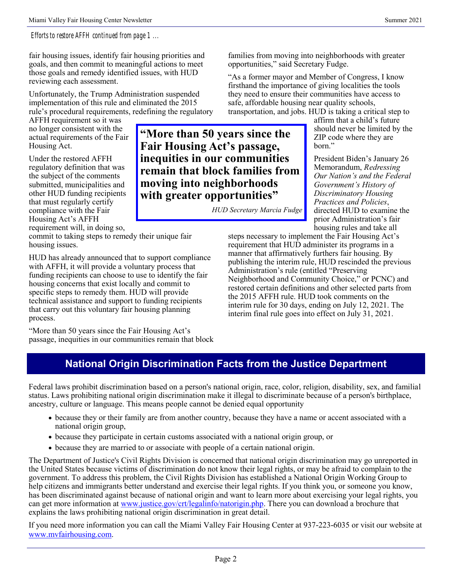### *Efforts to restore AFFH continued from page 1 ...*

fair housing issues, identify fair housing priorities and goals, and then commit to meaningful actions to meet those goals and remedy identified issues, with HUD reviewing each assessment.

Unfortunately, the Trump Administration suspended implementation of this rule and eliminated the 2015 rule's procedural requirements, redefining the regulatory

AFFH requirement so it was no longer consistent with the actual requirements of the Fair Housing Act.

Under the restored AFFH regulatory definition that was the subject of the comments submitted, municipalities and other HUD funding recipients that must regularly certify compliance with the Fair Housing Act's AFFH requirement will, in doing so,

commit to taking steps to remedy their unique fair housing issues.

HUD has already announced that to support compliance with AFFH, it will provide a voluntary process that funding recipients can choose to use to identify the fair housing concerns that exist locally and commit to specific steps to remedy them. HUD will provide technical assistance and support to funding recipients that carry out this voluntary fair housing planning process.

"More than 50 years since the Fair Housing Act's passage, inequities in our communities remain that block

**"More than 50 years since the Fair Housing Act's passage, inequities in our communities remain that block families from moving into neighborhoods with greater opportunities"**

*HUD Secretary Marcia Fudge*

transportation, and jobs. HUD is taking a critical step to affirm that a child's future should never be limited by the ZIP code where they are born."

> President Biden's January 26 Memorandum, *Redressing Our Nation's and the Federal Government's History of Discriminatory Housing Practices and Policies*, directed HUD to examine the prior Administration's fair housing rules and take all

steps necessary to implement the Fair Housing Act's requirement that HUD administer its programs in a manner that affirmatively furthers fair housing. By publishing the interim rule, HUD rescinded the previous Administration's rule (entitled "Preserving Neighborhood and Community Choice," or PCNC) and restored certain definitions and other selected parts from the 2015 AFFH rule. HUD took comments on the interim rule for 30 days, ending on July 12, 2021. The interim final rule goes into effect on July 31, 2021.

families from moving into neighborhoods with greater

"As a former mayor and Member of Congress, I know firsthand the importance of giving localities the tools they need to ensure their communities have access to

safe, affordable housing near quality schools,

opportunities," said Secretary Fudge.

### **National Origin Discrimination Facts from the Justice Department**

Federal laws prohibit discrimination based on a person's national origin, race, color, religion, disability, sex, and familial status. Laws prohibiting national origin discrimination make it illegal to discriminate because of a person's birthplace, ancestry, culture or language. This means people cannot be denied equal opportunity

- because they or their family are from another country, because they have a name or accent associated with a national origin group,
- because they participate in certain customs associated with a national origin group, or
- because they are married to or associate with people of a certain national origin.

The Department of Justice's Civil Rights Division is concerned that national origin discrimination may go unreported in the United States because victims of discrimination do not know their legal rights, or may be afraid to complain to the government. To address this problem, the Civil Rights Division has established a National Origin Working Group to help citizens and immigrants better understand and exercise their legal rights. If you think you, or someone you know, has been discriminated against because of national origin and want to learn more about exercising your legal rights, you can get more information at [www.justice.gov/crt/legalinfo/natorigin.php.](http://www.justice.gov/crt/legalinfo/natorigin.php) There you can download a brochure that explains the laws prohibiting national origin discrimination in great detail.

If you need more information you can call the Miami Valley Fair Housing Center at 937-223-6035 or visit our website at [www.mvfairhousing.com.](http://www.mvfairhousing.com)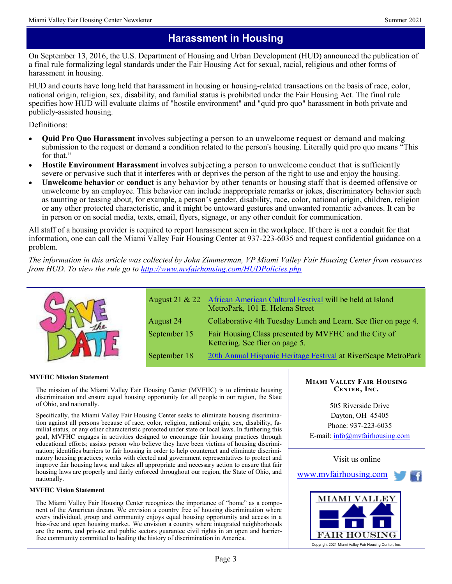### **Harassment in Housing**

On September 13, 2016, the U.S. Department of Housing and Urban Development (HUD) announced the publication of a final rule formalizing legal standards under the Fair Housing Act for sexual, racial, religious and other forms of harassment in housing.

HUD and courts have long held that harassment in housing or housing-related transactions on the basis of race, color, national origin, religion, sex, disability, and familial status is prohibited under the Fair Housing Act. The final rule specifies how HUD will evaluate claims of "hostile environment" and "quid pro quo" harassment in both private and publicly-assisted housing.

Definitions:

- **Quid Pro Quo Harassment** involves subjecting a person to an unwelcome request or demand and making submission to the request or demand a condition related to the person's housing. Literally quid pro quo means "This for that."
- **Hostile Environment Harassment** involves subjecting a person to unwelcome conduct that is sufficiently severe or pervasive such that it interferes with or deprives the person of the right to use and enjoy the housing.
- **Unwelcome behavior** or **conduct** is any behavior by other tenants or housing staff that is deemed offensive or unwelcome by an employee. This behavior can include inappropriate remarks or jokes, discriminatory behavior such as taunting or teasing about, for example, a person's gender, disability, race, color, national origin, children, religion or any other protected characteristic, and it might be untoward gestures and unwanted romantic advances. It can be in person or on social media, texts, email, flyers, signage, or any other conduit for communication.

All staff of a housing provider is required to report harassment seen in the workplace. If there is not a conduit for that information, one can call the Miami Valley Fair Housing Center at 937-223-6035 and request confidential guidance on a problem.

*The information in this article was collected by John Zimmerman, VP Miami Valley Fair Housing Center from resources from HUD. To view the rule go to <http://www.mvfairhousing.com/HUDPolicies.php>*



**MVFHC Mission Statement**

The mission of the Miami Valley Fair Housing Center (MVFHC) is to eliminate housing discrimination and ensure equal housing opportunity for all people in our region, the State of Ohio, and nationally.

Specifically, the Miami Valley Fair Housing Center seeks to eliminate housing discrimination against all persons because of race, color, religion, national origin, sex, disability, familial status, or any other characteristic protected under state or local laws. In furthering this goal, MVFHC engages in activities designed to encourage fair housing practices through educational efforts; assists person who believe they have been victims of housing discrimination; identifies barriers to fair housing in order to help counteract and eliminate discriminatory housing practices; works with elected and government representatives to protect and improve fair housing laws; and takes all appropriate and necessary action to ensure that fair housing laws are properly and fairly enforced throughout our region, the State of Ohio, and nationally.

#### **MVFHC Vision Statement**

The Miami Valley Fair Housing Center recognizes the importance of "home" as a component of the American dream. We envision a country free of housing discrimination where every individual, group and community enjoys equal housing opportunity and access in a bias-free and open housing market. We envision a country where integrated neighborhoods are the norm, and private and public sectors guarantee civil rights in an open and barrierfree community committed to healing the history of discrimination in America.

### **Miami Valley Fair Housing Center, Inc.**

505 Riverside Drive Dayton, OH 45405 Phone: 937-223-6035 E-mail: [info@mvfairhousing.com](mailto:info@mvfairhousing.com)



[www.mvfairhousing.com](http://www.mvfairhousing.com/)

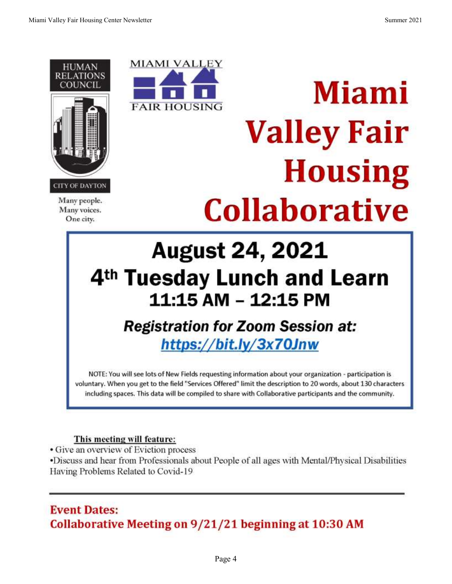

Many people. Many voices. One city.



# **Miami Valley Fair Housing Collaborative**

# **August 24, 2021** 4<sup>th</sup> Tuesday Lunch and Learn 11:15 AM - 12:15 PM

# **Registration for Zoom Session at:** https://bit.ly/3x70Jnw

NOTE: You will see lots of New Fields requesting information about your organization - participation is voluntary. When you get to the field "Services Offered" limit the description to 20 words, about 130 characters including spaces. This data will be compiled to share with Collaborative participants and the community.

### This meeting will feature:

• Give an overview of Eviction process

•Discuss and hear from Professionals about People of all ages with Mental/Physical Disabilities Having Problems Related to Covid-19

### **Event Dates:** Collaborative Meeting on 9/21/21 beginning at 10:30 AM